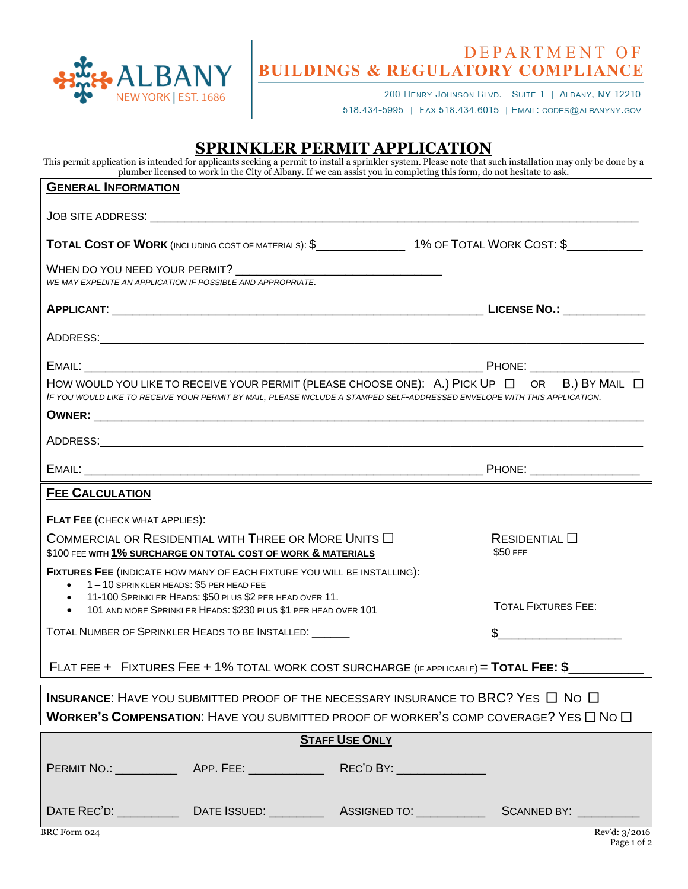

## DEPARTMENT OF<br>BUILDINGS & REGULATORY COMPLIANCE

200 HENRY JOHNSON BLVD.-SUITE 1 | ALBANY, NY 12210

518.434-5995 | FAX 518.434.6015 | EMAIL: CODES@ALBANYNY.GOV

## **SPRINKLER PERMIT APPLICATION**

This permit application is intended for applicants seeking a permit to install a sprinkler system. Please note that such installation may only be done by a plumber licensed to work in the City of Albany. If we can assist you in completing this form, do not hesitate to ask.

| <b>GENERAL INFORMATION</b>                                                                                                               |                                                                                                                  |  |
|------------------------------------------------------------------------------------------------------------------------------------------|------------------------------------------------------------------------------------------------------------------|--|
|                                                                                                                                          |                                                                                                                  |  |
|                                                                                                                                          | TOTAL COST OF WORK (INCLUDING COST OF MATERIALS): \$_________________1% OF TOTAL WORK COST: \$__________________ |  |
| WE MAY EXPEDITE AN APPLICATION IF POSSIBLE AND APPROPRIATE.                                                                              |                                                                                                                  |  |
|                                                                                                                                          |                                                                                                                  |  |
|                                                                                                                                          |                                                                                                                  |  |
|                                                                                                                                          |                                                                                                                  |  |
| IF YOU WOULD LIKE TO RECEIVE YOUR PERMIT BY MAIL, PLEASE INCLUDE A STAMPED SELF-ADDRESSED ENVELOPE WITH THIS APPLICATION.                | HOW WOULD YOU LIKE TO RECEIVE YOUR PERMIT (PLEASE CHOOSE ONE): A.) PICK UP $\Box$ OR B.) BY MAIL $\Box$          |  |
|                                                                                                                                          |                                                                                                                  |  |
|                                                                                                                                          |                                                                                                                  |  |
|                                                                                                                                          |                                                                                                                  |  |
| <b>FEE CALCULATION</b>                                                                                                                   |                                                                                                                  |  |
| <b>FLAT FEE (CHECK WHAT APPLIES):</b>                                                                                                    |                                                                                                                  |  |
| COMMERCIAL OR RESIDENTIAL WITH THREE OR MORE UNITS $\Box$<br>\$100 FEE WITH 1% SURCHARGE ON TOTAL COST OF WORK & MATERIALS               | $ResIDENTIAL$ $\square$<br>\$50 FEE                                                                              |  |
| FIXTURES FEE (INDICATE HOW MANY OF EACH FIXTURE YOU WILL BE INSTALLING):<br>• 1-10 SPRINKLER HEADS: \$5 PER HEAD FEE                     |                                                                                                                  |  |
| • 11-100 SPRINKLER HEADS: \$50 PLUS \$2 PER HEAD OVER 11.<br>101 AND MORE SPRINKLER HEADS: \$230 PLUS \$1 PER HEAD OVER 101<br>$\bullet$ | <b>TOTAL FIXTURES FEE:</b>                                                                                       |  |
| TOTAL NUMBER OF SPRINKLER HEADS TO BE INSTALLED: \[\]                                                                                    |                                                                                                                  |  |
| FLAT FEE + FIXTURES FEE + 1% TOTAL WORK COST SURCHARGE (IF APPLICABLE) = TOTAL FEE: $\frac{6}{2}$                                        |                                                                                                                  |  |
| <b>INSURANCE:</b> HAVE YOU SUBMITTED PROOF OF THE NECESSARY INSURANCE TO BRC? YES $\Box$ No $\Box$                                       |                                                                                                                  |  |
| <b>WORKER'S COMPENSATION:</b> HAVE YOU SUBMITTED PROOF OF WORKER'S COMP COVERAGE? YES $\Box$ No $\Box$                                   |                                                                                                                  |  |
| <b>STAFF USE ONLY</b>                                                                                                                    |                                                                                                                  |  |
|                                                                                                                                          |                                                                                                                  |  |
|                                                                                                                                          |                                                                                                                  |  |